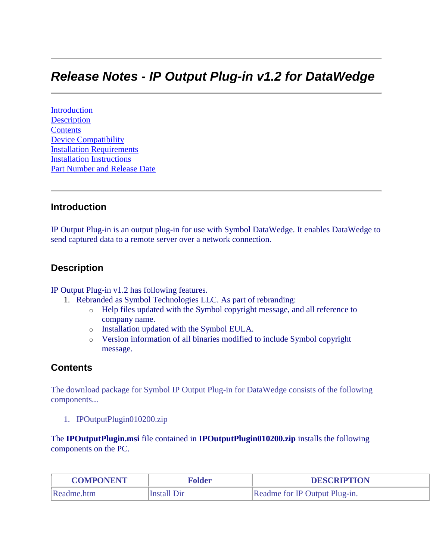# *Release Notes - IP Output Plug-in v1.2 for DataWedge*

[Introduction](#page-0-0) **[Description](#page-0-1) [Contents](#page-0-2)** [Device Compatibility](#page-1-0) [Installation Requirements](#page-2-0) [Installation Instructions](#page-3-0) Part Number and Release Date

#### <span id="page-0-0"></span>**Introduction**

IP Output Plug-in is an output plug-in for use with Symbol DataWedge. It enables DataWedge to send captured data to a remote server over a network connection.

### <span id="page-0-1"></span>**Description**

IP Output Plug-in v1.2 has following features.

- 1. Rebranded as Symbol Technologies LLC. As part of rebranding:
	- o Help files updated with the Symbol copyright message, and all reference to company name.
	- o Installation updated with the Symbol EULA.
	- o Version information of all binaries modified to include Symbol copyright message.

### <span id="page-0-2"></span>**Contents**

The download package for Symbol IP Output Plug-in for DataWedge consists of the following components...

1. IPOutputPlugin010200.zip

The **IPOutputPlugin.msi** file contained in **IPOutputPlugin010200.zip** installs the following components on the PC.

| <b>COMPONENT</b>          | łolder | <b>DESCRIPTION</b>            |  |  |
|---------------------------|--------|-------------------------------|--|--|
| Readme.htm<br>Install Dir |        | Readme for IP Output Plug-in. |  |  |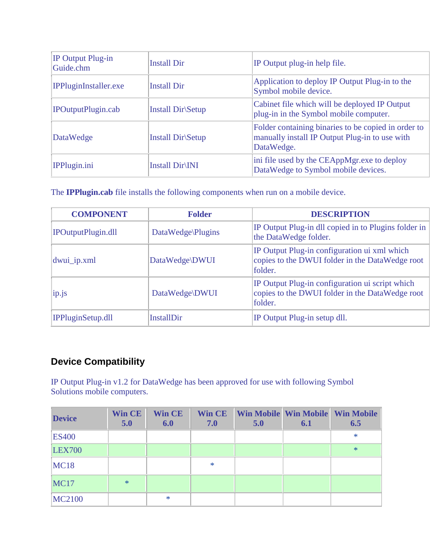| IP Output Plug-in<br>Guide.chm | <b>Install Dir</b> | IP Output plug-in help file.                                                                                        |
|--------------------------------|--------------------|---------------------------------------------------------------------------------------------------------------------|
| <b>IPPluginInstaller.exe</b>   | <b>Install Dir</b> | Application to deploy IP Output Plug-in to the<br>Symbol mobile device.                                             |
| IPOutputPlugin.cab             | Install Dir\Setup  | Cabinet file which will be deployed IP Output<br>plug-in in the Symbol mobile computer.                             |
| DataWedge                      | Install Dir Setup  | Folder containing binaries to be copied in order to<br>manually install IP Output Plug-in to use with<br>DataWedge. |
| IPPlugin.ini                   | Install Dir\INI    | ini file used by the CEAppMgr.exe to deploy<br>DataWedge to Symbol mobile devices.                                  |

The **IPPlugin.cab** file installs the following components when run on a mobile device.

| <b>COMPONENT</b>              | <b>Folder</b>     | <b>DESCRIPTION</b>                                                                                            |  |  |
|-------------------------------|-------------------|---------------------------------------------------------------------------------------------------------------|--|--|
| IPOutputPlugin.dll            | DataWedge\Plugins | IP Output Plug-in dll copied in to Plugins folder in<br>the DataWedge folder.                                 |  |  |
| dwui_ip.xml<br>DataWedge\DWUI |                   | IP Output Plug-in configuration ui xml which<br>copies to the DWUI folder in the DataWedge root<br>folder.    |  |  |
| ip.is<br>DataWedge\DWUI       |                   | IP Output Plug-in configuration ui script which<br>copies to the DWUI folder in the DataWedge root<br>folder. |  |  |
| IPPluginSetup.dll             | InstallDir        | IP Output Plug-in setup dll.                                                                                  |  |  |

# <span id="page-1-0"></span>**Device Compatibility**

IP Output Plug-in v1.2 for DataWedge has been approved for use with following Symbol Solutions mobile computers.

| <b>Device</b> | <b>Win CE</b><br>5.0 | <b>Win CE</b><br>6.0 | 7.0    | 5.0 | 6.1 | <b>Win CE</b> Win Mobile Win Mobile Win Mobile<br>6.5 |
|---------------|----------------------|----------------------|--------|-----|-----|-------------------------------------------------------|
| <b>ES400</b>  |                      |                      |        |     |     | $\ast$                                                |
| <b>LEX700</b> |                      |                      |        |     |     | $*$                                                   |
| <b>MC18</b>   |                      |                      | $\ast$ |     |     |                                                       |
| <b>MC17</b>   | $\ast$               |                      |        |     |     |                                                       |
| <b>MC2100</b> |                      | $\ast$               |        |     |     |                                                       |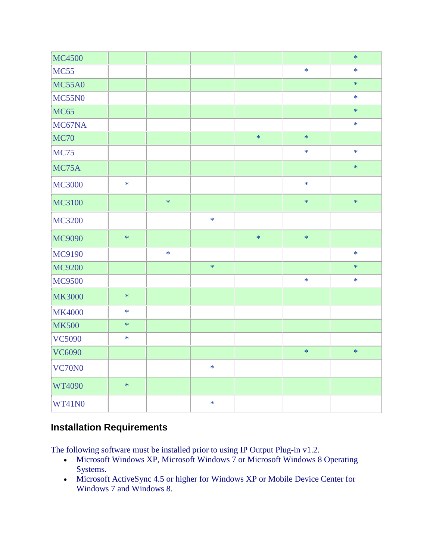| MC4500        |        |        |        |        |        | $\ast$ |
|---------------|--------|--------|--------|--------|--------|--------|
| <b>MC55</b>   |        |        |        |        | $\ast$ | $\ast$ |
| <b>MC55A0</b> |        |        |        |        |        | $\ast$ |
| <b>MC55N0</b> |        |        |        |        |        | $\ast$ |
| <b>MC65</b>   |        |        |        |        |        | $\ast$ |
| MC67NA        |        |        |        |        |        | $\ast$ |
| <b>MC70</b>   |        |        |        | $\ast$ | $\ast$ |        |
| <b>MC75</b>   |        |        |        |        | $\ast$ | $\ast$ |
| MC75A         |        |        |        |        |        | $\ast$ |
| <b>MC3000</b> | $\ast$ |        |        |        | $\ast$ |        |
| MC3100        |        | $\ast$ |        |        | $\ast$ | $\ast$ |
| <b>MC3200</b> |        |        | $\ast$ |        |        |        |
| MC9090        | $\ast$ |        |        | $\ast$ | $\ast$ |        |
| MC9190        |        | $\ast$ |        |        |        | $\ast$ |
| MC9200        |        |        | $\ast$ |        |        | $\ast$ |
| MC9500        |        |        |        |        | $\ast$ | $\ast$ |
| <b>MK3000</b> | $\ast$ |        |        |        |        |        |
| <b>MK4000</b> | $\ast$ |        |        |        |        |        |
| <b>MK500</b>  | $\ast$ |        |        |        |        |        |
| <b>VC5090</b> | $\ast$ |        |        |        |        |        |
| <b>VC6090</b> |        |        |        |        | $\ast$ | $\ast$ |
| VC70N0        |        |        | $\ast$ |        |        |        |
| WT4090        | $\ast$ |        |        |        |        |        |
| WT41N0        |        |        | $\ast$ |        |        |        |

### <span id="page-2-0"></span>**Installation Requirements**

The following software must be installed prior to using IP Output Plug-in v1.2.

- Microsoft Windows XP, Microsoft Windows 7 or Microsoft Windows 8 Operating Systems.
- Microsoft ActiveSync 4.5 or higher for Windows XP or Mobile Device Center for Windows 7 and Windows 8.